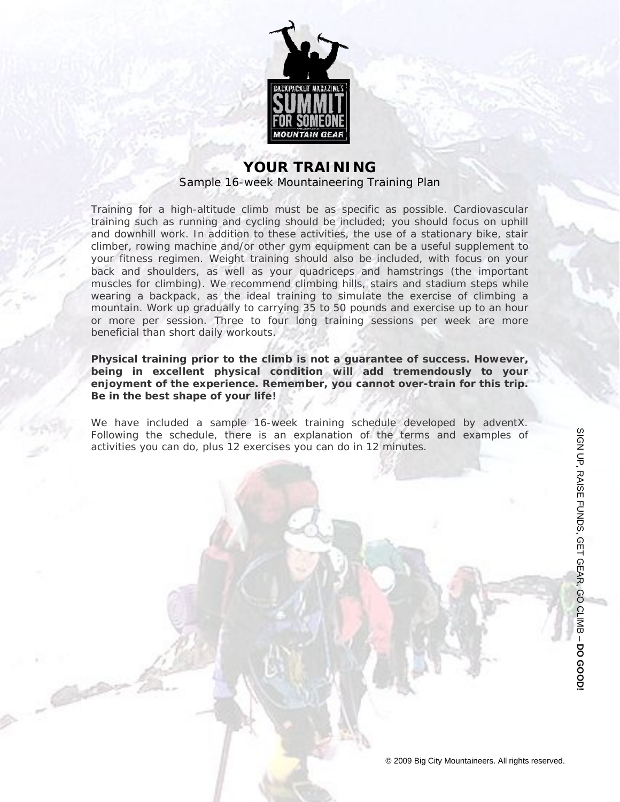

### **YOUR TRAINING** Sample 16-week Mountaineering Training Plan

Training for a high-altitude climb must be as specific as possible. Cardiovascular training such as running and cycling should be included; you should focus on uphill and downhill work. In addition to these activities, the use of a stationary bike, stair climber, rowing machine and/or other gym equipment can be a useful supplement to your fitness regimen. Weight training should also be included, with focus on your back and shoulders, as well as your quadriceps and hamstrings (the important muscles for climbing). We recommend climbing hills, stairs and stadium steps while wearing a backpack, as the ideal training to simulate the exercise of climbing a mountain. Work up gradually to carrying 35 to 50 pounds and exercise up to an hour or more per session. Three to four long training sessions per week are more beneficial than short daily workouts.

**Physical training prior to the climb is not a guarantee of success. However, being in excellent physical condition will add tremendously to your enjoyment of the experience. Remember, you cannot over-train for this trip. Be in the best shape of your life!**

We have included a sample 16-week training schedule developed by adventX. Following the schedule, there is an explanation of the terms and examples of activities you can do, plus 12 exercises you can do in 12 minutes.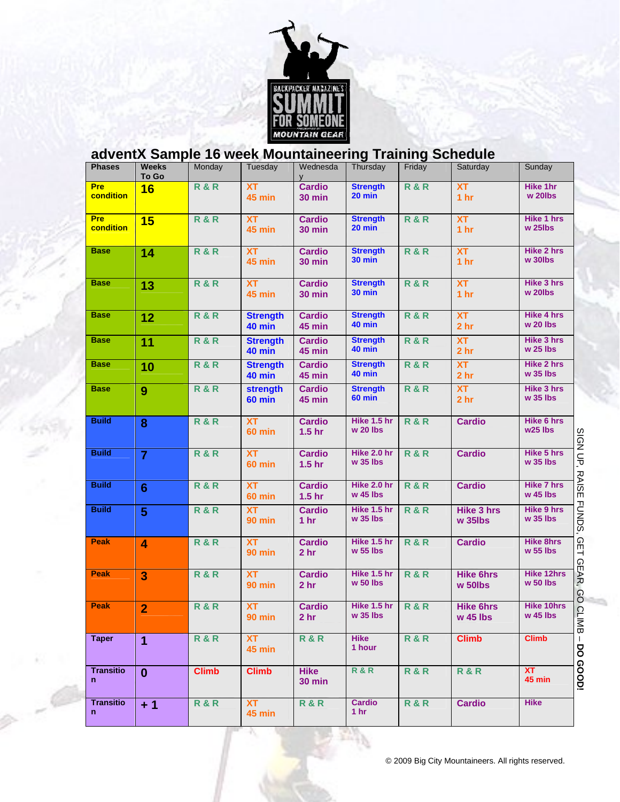

# **adventX Sample 16 week Mountaineering Training Schedule**

| <b>Phases</b>           | <b>Weeks</b><br>To Go   | Monday         | Tuesday                          | Wednesda<br><b>V</b>               | Thursday                         | Friday         | Saturday                                   | Sunday                                                           |
|-------------------------|-------------------------|----------------|----------------------------------|------------------------------------|----------------------------------|----------------|--------------------------------------------|------------------------------------------------------------------|
| <b>Pre</b><br>condition | 16                      | <b>R&amp;R</b> | <b>XT</b><br><b>45 min</b>       | <b>Cardio</b><br><b>30 min</b>     | <b>Strength</b><br>20 min        | <b>R&amp;R</b> | <b>XT</b><br>1 <sub>hr</sub>               | Hike 1hr<br>w 20lbs                                              |
| <b>Pre</b><br>condition | 15                      | <b>R&amp;R</b> | <b>XT</b><br><b>45 min</b>       | <b>Cardio</b><br><b>30 min</b>     | <b>Strength</b><br>20 min        | <b>R&amp;R</b> | <b>XT</b><br>1 <sub>hr</sub>               | <b>Hike 1 hrs</b><br>$w$ 25 $l$ bs                               |
| <b>Base</b>             | 14                      | <b>R&amp;R</b> | <b>XT</b><br><b>45 min</b>       | <b>Cardio</b><br><b>30 min</b>     | <b>Strength</b><br><b>30 min</b> | <b>R&amp;R</b> | <b>XT</b><br>1 <sub>hr</sub>               | <b>Hike 2 hrs</b><br>w 30lbs                                     |
| <b>Base</b>             | 13                      | <b>R&amp;R</b> | <b>XT</b><br><b>45 min</b>       | <b>Cardio</b><br><b>30 min</b>     | <b>Strength</b><br><b>30 min</b> | <b>R&amp;R</b> | <b>XT</b><br>1 <sub>hr</sub>               | Hike 3 hrs<br>w 20lbs                                            |
| <b>Base</b>             | 12                      | <b>R&amp;R</b> | <b>Strength</b><br><b>40 min</b> | <b>Cardio</b><br><b>45 min</b>     | <b>Strength</b><br>40 min        | R&R            | <b>XT</b><br>2 <sub>hr</sub>               | Hike 4 hrs<br>$w$ 20 lbs                                         |
| <b>Base</b>             | 11                      | <b>R&amp;R</b> | <b>Strength</b><br><b>40 min</b> | <b>Cardio</b><br><b>45 min</b>     | <b>Strength</b><br>40 min        | <b>R&amp;R</b> | XT<br>2 <sub>hr</sub>                      | Hike 3 hrs<br>$w$ 25 lbs                                         |
| <b>Base</b>             | 10                      | <b>R&amp;R</b> | <b>Strength</b><br><b>40 min</b> | <b>Cardio</b><br><b>45 min</b>     | <b>Strength</b><br>40 min        | <b>R&amp;R</b> | XT<br>2 <sub>hr</sub>                      | <b>Hike 2 hrs</b><br>$w$ 35 lbs                                  |
| <b>Base</b>             | 9                       | <b>R&amp;R</b> | <b>strength</b><br><b>60 min</b> | <b>Cardio</b><br><b>45 min</b>     | <b>Strength</b><br><b>60 min</b> | <b>R&amp;R</b> | XT<br>2 <sub>hr</sub>                      | Hike 3 hrs<br>w 35 lbs                                           |
| <b>Build</b>            | 8                       | <b>R&amp;R</b> | <b>XT</b><br><b>60 min</b>       | <b>Cardio</b><br>1.5 <sub>hr</sub> | Hike 1.5 hr<br>$w$ 20 lbs        | <b>R&amp;R</b> | <b>Cardio</b>                              | Hike 6 hrs<br>w <sub>25</sub> lbs<br>$\overline{a}$<br><u>ରୁ</u> |
| <b>Build</b>            | $\overline{7}$          | <b>R&amp;R</b> | <b>XT</b><br><b>60 min</b>       | <b>Cardio</b><br>1.5 <sub>hr</sub> | Hike 2.0 hr<br>w 35 lbs          | <b>R&amp;R</b> | <b>Cardio</b>                              | Hike 5 hrs<br>Ş<br>w 35 lbs                                      |
| <b>Build</b>            | $6\phantom{1}$          | <b>R&amp;R</b> | <b>XT</b><br><b>60 min</b>       | <b>Cardio</b><br>1.5 <sub>hr</sub> | Hike 2.0 hr<br>w 45 lbs          | <b>R&amp;R</b> | <b>Cardio</b>                              | <b>RAIS</b><br><b>Hike 7 hrs</b><br>$w$ 45 lbs<br>Ш              |
| <b>Build</b>            | 5                       | <b>R&amp;R</b> | <b>XT</b><br><b>90 min</b>       | <b>Cardio</b><br>1 <sub>hr</sub>   | Hike 1.5 hr<br>w 35 lbs          | <b>R&amp;R</b> | <b>Hike 3 hrs</b><br>$w$ 35 $l$ bs         | <b>FUNDS</b><br><b>Hike 9 hrs</b><br>w 35 lbs                    |
| Peak                    | $\overline{\mathbf{4}}$ | <b>R&amp;R</b> | <b>XT</b><br><b>90 min</b>       | <b>Cardio</b><br>2 <sub>hr</sub>   | Hike 1.5 hr<br>w 55 lbs          | <b>R&amp;R</b> | <b>Cardio</b>                              | $\Omega$<br><b>Hike 8hrs</b><br>Щ<br>w 55 lbs<br>GE              |
| <b>Peak</b>             | 3                       | R&R            | <b>XT</b><br><b>90 min</b>       | <b>Cardio</b><br>2 <sub>hr</sub>   | Hike 1.5 hr<br>$w$ 50 lbs        | R&R            | <b>Hike 6hrs</b><br>$w$ 50 $\mathsf{libs}$ | <b>Hike 12hrs</b><br>ΑR,<br>$w$ 50 lbs<br>80                     |
| <b>Peak</b>             | $\overline{2}$          | <b>R&amp;R</b> | <b>XT</b><br><b>90 min</b>       | <b>Cardio</b><br>2 hr              | Hike 1.5 hr<br>$w$ 35 lbs        | <b>R&amp;R</b> | <b>Hike 6hrs</b><br>$w$ 45 lbs             | <b>Hike 10hrs</b><br>$\overline{C}$<br>$w$ 45 lbs<br><b>IMB</b>  |
| <b>Taper</b>            | $\overline{1}$          | <b>R&amp;R</b> | XT<br>45 min                     | <b>R&amp;R</b>                     | <b>Hike</b><br>1 hour            | <b>R&amp;R</b> | <b>Climb</b>                               | <b>Climb</b><br>g                                                |
| <b>Transitio</b><br>n   | $\mathbf{0}$            | <b>Climb</b>   | <b>Climb</b>                     | <b>Hike</b><br><b>30 min</b>       | <b>R&amp;R</b>                   | <b>R&amp;R</b> | <b>R&amp;R</b>                             | coopi<br>XT<br><b>45 min</b>                                     |
| <b>Transitio</b><br>n   | $+1$                    | <b>R&amp;R</b> | <b>XT</b><br><b>45 min</b>       | R&R                                | <b>Cardio</b><br>1 <sub>hr</sub> | <b>R&amp;R</b> | <b>Cardio</b>                              | <b>Hike</b>                                                      |

 $\sim$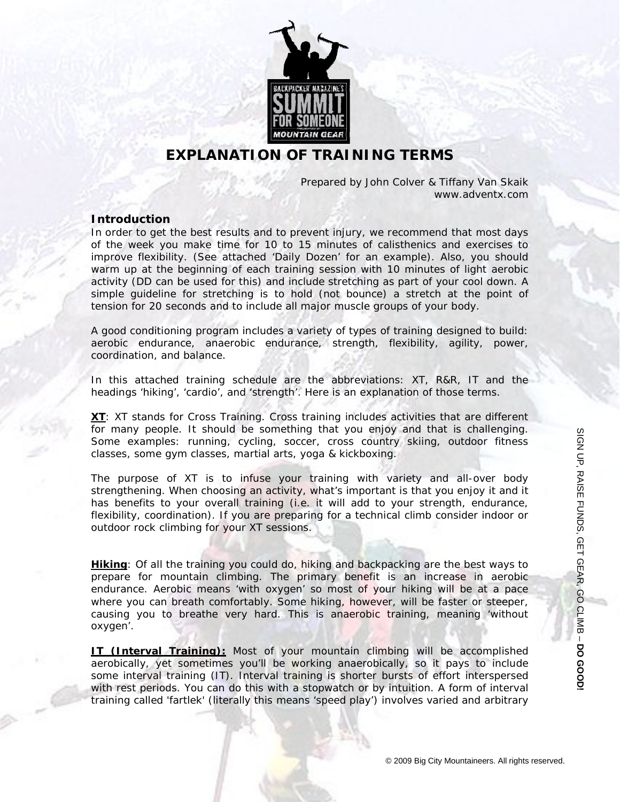

### **EXPLANATION OF TRAINING TERMS**

Prepared by John Colver & Tiffany Van Skaik www.adventx.com

#### *Introduction*

In order to get the best results and to prevent injury, we recommend that most days of the week you make time for 10 to 15 minutes of calisthenics and exercises to improve flexibility. (See attached 'Daily Dozen' for an example). Also, you should warm up at the beginning of each training session with 10 minutes of light aerobic activity (DD can be used for this) and include stretching as part of your cool down. A simple guideline for stretching is to hold (not bounce) a stretch at the point of tension for 20 seconds and to include all major muscle groups of your body.

A good conditioning program includes a variety of types of training designed to build: aerobic endurance, anaerobic endurance, strength, flexibility, agility, power, coordination, and balance.

In this attached training schedule are the abbreviations: XT, R&R, IT and the headings 'hiking', 'cardio', and 'strength'. Here is an explanation of those terms.

**XT**: XT stands for Cross Training. Cross training includes activities that are different for many people. It should be something that you enjoy and that is challenging. Some examples: running, cycling, soccer, cross country skiing, outdoor fitness classes, some gym classes, martial arts, yoga & kickboxing.

The purpose of XT is to infuse your training with variety and all-over body strengthening. When choosing an activity, what's important is that you enjoy it and it has benefits to your overall training (i.e. it will add to your strength, endurance, flexibility, coordination). If you are preparing for a technical climb consider indoor or outdoor rock climbing for your XT sessions.

**Hiking**: Of all the training you could do, hiking and backpacking are the best ways to prepare for mountain climbing. The primary benefit is an increase in aerobic endurance. Aerobic means 'with oxygen' so most of your hiking will be at a pace where you can breath comfortably. Some hiking, however, will be faster or steeper, causing you to breathe very hard. This is anaerobic training, meaning 'without oxygen'.

**IT (Interval Training):** Most of your mountain climbing will be accomplished aerobically, yet sometimes you'll be working anaerobically, so it pays to include some interval training (IT). Interval training is shorter bursts of effort interspersed with rest periods. You can do this with a stopwatch or by intuition. A form of interval training called 'fartlek' (literally this means 'speed play') involves varied and arbitrary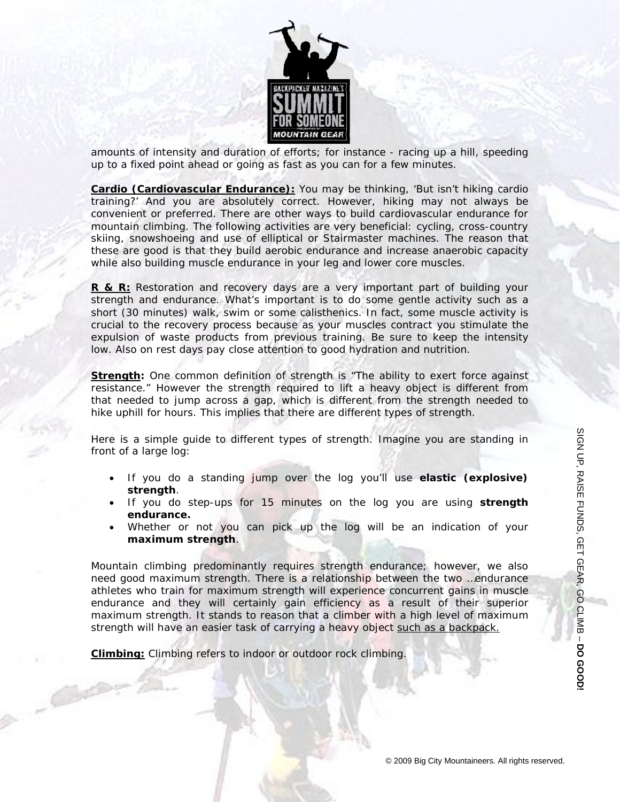

amounts of intensity and duration of efforts; for instance - racing up a hill, speeding up to a fixed point ahead or going as fast as you can for a few minutes.

**Cardio (Cardiovascular Endurance):** You may be thinking, 'But isn't hiking cardio training?' And you are absolutely correct. However, hiking may not always be convenient or preferred. There are other ways to build cardiovascular endurance for mountain climbing. The following activities are very beneficial: cycling, cross-country skiing, snowshoeing and use of elliptical or Stairmaster machines. The reason that these are good is that they build aerobic endurance and increase anaerobic capacity while also building muscle endurance in your leg and lower core muscles.

**R & R:** Restoration and recovery days are a very important part of building your strength and endurance. What's important is to do some gentle activity such as a short (30 minutes) walk, swim or some calisthenics. In fact, some muscle activity is crucial to the recovery process because as your muscles contract you stimulate the expulsion of waste products from previous training. Be sure to keep the intensity low. Also on rest days pay close attention to good hydration and nutrition.

**Strength:** One common definition of strength is "The ability to exert force against resistance." However the strength required to lift a heavy object is different from that needed to jump across a gap, which is different from the strength needed to hike uphill for hours. This implies that there are different types of strength.

Here is a simple guide to different types of strength. Imagine you are standing in front of a large log:

- If you do a standing jump over the log you'll use **elastic (explosive) strength**.
- If you do step-ups for 15 minutes on the log you are using **strength endurance.**
- Whether or not you can pick up the log will be an indication of your **maximum strength**.

Mountain climbing predominantly requires strength endurance; however, we also need good maximum strength. There is a relationship between the two …endurance athletes who train for maximum strength will experience concurrent gains in muscle endurance and they will certainly gain efficiency as a result of their superior maximum strength. It stands to reason that a climber with a high level of maximum strength will have an easier task of carrying a heavy object such as a backpack.

**Climbing:** Climbing refers to indoor or outdoor rock climbing.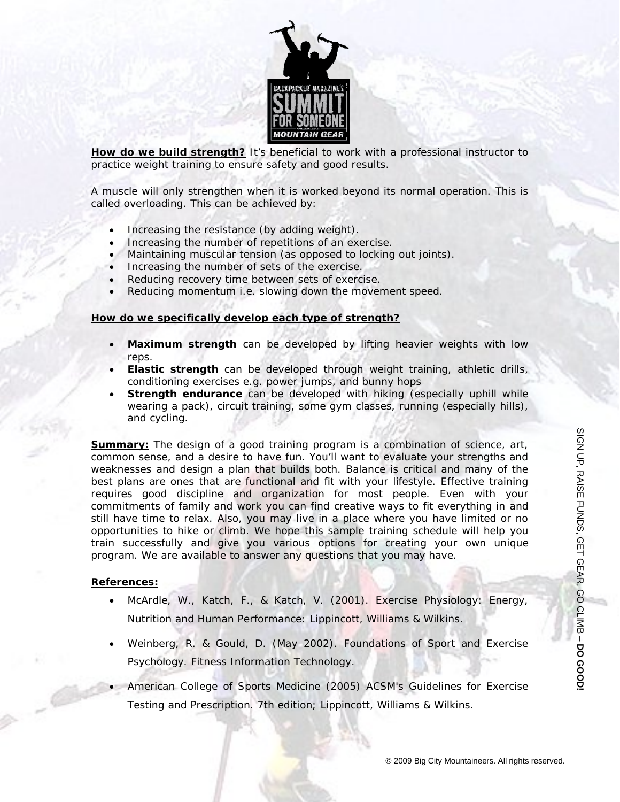

**How do we build strength?** It's beneficial to work with a professional instructor to practice weight training to ensure safety and good results.

A muscle will only strengthen when it is worked beyond its normal operation. This is called overloading. This can be achieved by:

- Increasing the resistance (by adding weight).
- Increasing the number of repetitions of an exercise.
- Maintaining muscular tension (as opposed to locking out joints).
- Increasing the number of sets of the exercise.
- Reducing recovery time between sets of exercise.
- Reducing momentum i.e. slowing down the movement speed.

#### **How do we specifically develop each type of strength?**

- **Maximum strength** can be developed by lifting heavier weights with low reps.
- **Elastic strength** can be developed through weight training, athletic drills, conditioning exercises e.g. power jumps, and bunny hops
- **Strength endurance** can be developed with hiking (especially uphill while wearing a pack), circuit training, some gym classes, running (especially hills), and cycling.

**Summary:** The design of a good training program is a combination of science, art, common sense, and a desire to have fun. You'll want to evaluate your strengths and weaknesses and design a plan that builds both. Balance is critical and many of the best plans are ones that are functional and fit with your lifestyle. Effective training requires good discipline and organization for most people. Even with your commitments of family and work you can find creative ways to fit everything in and still have time to relax. Also, you may live in a place where you have limited or no opportunities to hike or climb. We hope this sample training schedule will help you train successfully and give you various options for creating your own unique program. We are available to answer any questions that you may have.

#### **References:**

- McArdle, W., Katch, F., & Katch, V. (2001). *Exercise Physiology: Energy, Nutrition and Human Performance*: Lippincott, Williams & Wilkins.
- Weinberg, R. & Gould, D. (May 2002). *Foundations of Sport and Exercise Psychology.* Fitness Information Technology.
- American College of Sports Medicine (2005) ACSM's Guidelines for Exercise Testing and Prescription. 7th edition; Lippincott, Williams & Wilkins.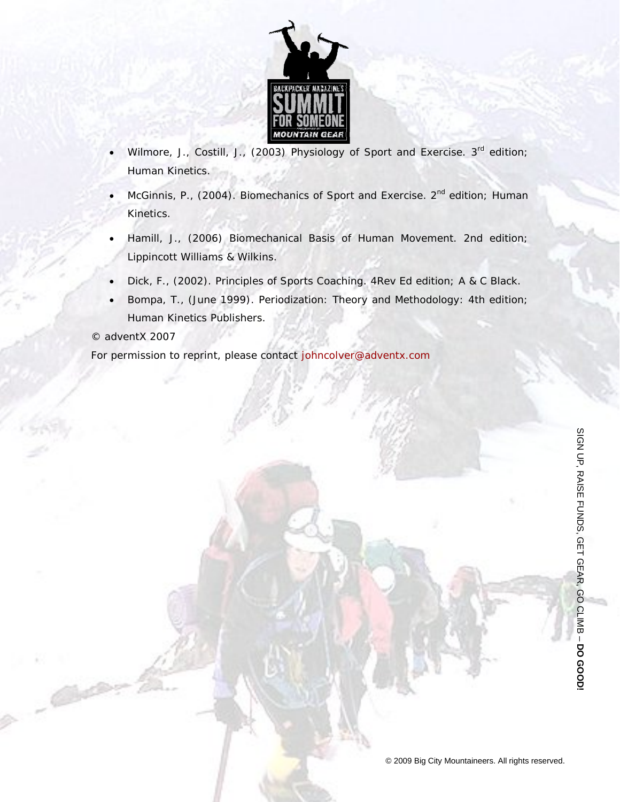

- Wilmore, J., Costill, J., (2003) Physiology of Sport and Exercise. 3<sup>rd</sup> edition; Human Kinetics.
- McGinnis, P., (2004). Biomechanics of Sport and Exercise. 2<sup>nd</sup> edition; Human Kinetics.
- Hamill, J., (2006) *Biomechanical Basis of Human Movement.* 2nd edition; Lippincott Williams & Wilkins.
- Dick, F., (2002). *Principles of Sports Coaching*. 4Rev Ed edition; A & C Black.
- Bompa, T., (June 1999). *Periodization: Theory and Methodology*: 4th edition; Human Kinetics Publishers.

### © adventX 2007

For permission to reprint, please contact johncolver@adventx.com